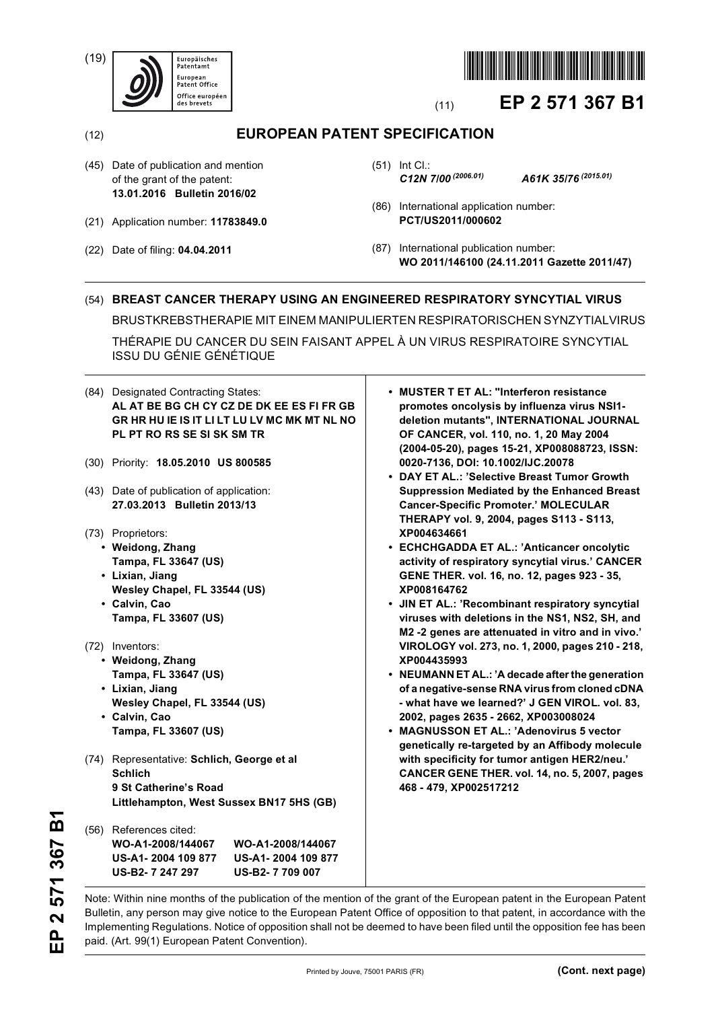(19)





# (11) **EP 2 571 367 B1**

(12) **EUROPEAN PATENT SPECIFICATION**

- (45) Date of publication and mention of the grant of the patent: **13.01.2016 Bulletin 2016/02**
- (21) Application number: **11783849.0**
- (22) Date of filing: **04.04.2011**

(51) Int Cl.: *C12N 7/00 (2006.01) A61K 35/76 (2015.01)*

- (86) International application number: **PCT/US2011/000602**
- (87) International publication number: **WO 2011/146100 (24.11.2011 Gazette 2011/47)**

## (54) **BREAST CANCER THERAPY USING AN ENGINEERED RESPIRATORY SYNCYTIAL VIRUS**

BRUSTKREBSTHERAPIE MIT EINEM MANIPULIERTEN RESPIRATORISCHEN SYNZYTIALVIRUS

THÉRAPIE DU CANCER DU SEIN FAISANT APPEL À UN VIRUS RESPIRATOIRE SYNCYTIAL ISSU DU GÉNIE GÉNÉTIQUE

| (30) Priority: 18.05.2010 US 800585<br>• DAY ET AL.: 'Selective Breast Tumor Growth<br>(43) Date of publication of application:<br>27.03.2013 Bulletin 2013/13<br><b>Cancer-Specific Promoter.' MOLECULAR</b><br>THERAPY vol. 9, 2004, pages S113 - S113,<br>XP004634661<br>(73) Proprietors:<br>• Weidong, Zhang<br>• ECHCHGADDA ET AL.: 'Anticancer oncolytic<br>Tampa, FL 33647 (US)<br>• Lixian, Jiang<br>GENE THER. vol. 16, no. 12, pages 923 - 35,<br>Wesley Chapel, FL 33544 (US)<br>XP008164762<br>• Calvin, Cao<br>Tampa, FL 33607 (US)<br>(72) Inventors:<br>• Weidong, Zhang<br>XP004435993<br>Tampa, FL 33647 (US)<br>• Lixian, Jiang<br>Wesley Chapel, FL 33544 (US)<br>• Calvin, Cao<br>2002, pages 2635 - 2662, XP003008024<br>Tampa, FL 33607 (US)<br>• MAGNUSSON ET AL.: 'Adenovirus 5 vector<br>with specificity for tumor antigen HER2/neu.'<br>(74) Representative: Schlich, George et al<br><b>Schlich</b><br>9 St Catherine's Road<br>468 - 479, XP002517212<br>Littlehampton, West Sussex BN17 5HS (GB)<br>(56) References cited: | (84) Designated Contracting States:<br>AL AT BE BG CH CY CZ DE DK EE ES FI FR GB<br>GR HR HU IE IS IT LI LT LU LV MC MK MT NL NO<br>PL PT RO RS SE SI SK SM TR | • MUSTER T ET AL: "Interferon resistance<br>promotes oncolysis by influenza virus NSI1-<br>deletion mutants", INTERNATIONAL JOURNAL<br>OF CANCER, vol. 110, no. 1, 20 May 2004<br>(2004-05-20), pages 15-21, XP008088723, ISSN: |
|-----------------------------------------------------------------------------------------------------------------------------------------------------------------------------------------------------------------------------------------------------------------------------------------------------------------------------------------------------------------------------------------------------------------------------------------------------------------------------------------------------------------------------------------------------------------------------------------------------------------------------------------------------------------------------------------------------------------------------------------------------------------------------------------------------------------------------------------------------------------------------------------------------------------------------------------------------------------------------------------------------------------------------------------------------------|----------------------------------------------------------------------------------------------------------------------------------------------------------------|---------------------------------------------------------------------------------------------------------------------------------------------------------------------------------------------------------------------------------|
|                                                                                                                                                                                                                                                                                                                                                                                                                                                                                                                                                                                                                                                                                                                                                                                                                                                                                                                                                                                                                                                           |                                                                                                                                                                | 0020-7136, DOI: 10.1002/IJC.20078                                                                                                                                                                                               |
|                                                                                                                                                                                                                                                                                                                                                                                                                                                                                                                                                                                                                                                                                                                                                                                                                                                                                                                                                                                                                                                           |                                                                                                                                                                | <b>Suppression Mediated by the Enhanced Breast</b>                                                                                                                                                                              |
|                                                                                                                                                                                                                                                                                                                                                                                                                                                                                                                                                                                                                                                                                                                                                                                                                                                                                                                                                                                                                                                           |                                                                                                                                                                |                                                                                                                                                                                                                                 |
|                                                                                                                                                                                                                                                                                                                                                                                                                                                                                                                                                                                                                                                                                                                                                                                                                                                                                                                                                                                                                                                           |                                                                                                                                                                |                                                                                                                                                                                                                                 |
|                                                                                                                                                                                                                                                                                                                                                                                                                                                                                                                                                                                                                                                                                                                                                                                                                                                                                                                                                                                                                                                           |                                                                                                                                                                | activity of respiratory syncytial virus.' CANCER                                                                                                                                                                                |
|                                                                                                                                                                                                                                                                                                                                                                                                                                                                                                                                                                                                                                                                                                                                                                                                                                                                                                                                                                                                                                                           |                                                                                                                                                                |                                                                                                                                                                                                                                 |
|                                                                                                                                                                                                                                                                                                                                                                                                                                                                                                                                                                                                                                                                                                                                                                                                                                                                                                                                                                                                                                                           |                                                                                                                                                                |                                                                                                                                                                                                                                 |
|                                                                                                                                                                                                                                                                                                                                                                                                                                                                                                                                                                                                                                                                                                                                                                                                                                                                                                                                                                                                                                                           |                                                                                                                                                                | • JIN ET AL.: 'Recombinant respiratory syncytial                                                                                                                                                                                |
|                                                                                                                                                                                                                                                                                                                                                                                                                                                                                                                                                                                                                                                                                                                                                                                                                                                                                                                                                                                                                                                           |                                                                                                                                                                | viruses with deletions in the NS1, NS2, SH, and<br>M2 -2 genes are attenuated in vitro and in vivo.'                                                                                                                            |
|                                                                                                                                                                                                                                                                                                                                                                                                                                                                                                                                                                                                                                                                                                                                                                                                                                                                                                                                                                                                                                                           |                                                                                                                                                                | VIROLOGY vol. 273, no. 1, 2000, pages 210 - 218,                                                                                                                                                                                |
|                                                                                                                                                                                                                                                                                                                                                                                                                                                                                                                                                                                                                                                                                                                                                                                                                                                                                                                                                                                                                                                           |                                                                                                                                                                |                                                                                                                                                                                                                                 |
|                                                                                                                                                                                                                                                                                                                                                                                                                                                                                                                                                                                                                                                                                                                                                                                                                                                                                                                                                                                                                                                           |                                                                                                                                                                | • NEUMANN ET AL.: 'A decade after the generation                                                                                                                                                                                |
|                                                                                                                                                                                                                                                                                                                                                                                                                                                                                                                                                                                                                                                                                                                                                                                                                                                                                                                                                                                                                                                           |                                                                                                                                                                | of a negative-sense RNA virus from cloned cDNA                                                                                                                                                                                  |
|                                                                                                                                                                                                                                                                                                                                                                                                                                                                                                                                                                                                                                                                                                                                                                                                                                                                                                                                                                                                                                                           |                                                                                                                                                                | - what have we learned?' J GEN VIROL. vol. 83,                                                                                                                                                                                  |
|                                                                                                                                                                                                                                                                                                                                                                                                                                                                                                                                                                                                                                                                                                                                                                                                                                                                                                                                                                                                                                                           |                                                                                                                                                                |                                                                                                                                                                                                                                 |
|                                                                                                                                                                                                                                                                                                                                                                                                                                                                                                                                                                                                                                                                                                                                                                                                                                                                                                                                                                                                                                                           |                                                                                                                                                                | genetically re-targeted by an Affibody molecule                                                                                                                                                                                 |
|                                                                                                                                                                                                                                                                                                                                                                                                                                                                                                                                                                                                                                                                                                                                                                                                                                                                                                                                                                                                                                                           |                                                                                                                                                                |                                                                                                                                                                                                                                 |
|                                                                                                                                                                                                                                                                                                                                                                                                                                                                                                                                                                                                                                                                                                                                                                                                                                                                                                                                                                                                                                                           |                                                                                                                                                                | CANCER GENE THER. vol. 14, no. 5, 2007, pages                                                                                                                                                                                   |
|                                                                                                                                                                                                                                                                                                                                                                                                                                                                                                                                                                                                                                                                                                                                                                                                                                                                                                                                                                                                                                                           |                                                                                                                                                                |                                                                                                                                                                                                                                 |
|                                                                                                                                                                                                                                                                                                                                                                                                                                                                                                                                                                                                                                                                                                                                                                                                                                                                                                                                                                                                                                                           |                                                                                                                                                                |                                                                                                                                                                                                                                 |
|                                                                                                                                                                                                                                                                                                                                                                                                                                                                                                                                                                                                                                                                                                                                                                                                                                                                                                                                                                                                                                                           |                                                                                                                                                                |                                                                                                                                                                                                                                 |
| WO-A1-2008/144067<br>WO-A1-2008/144067                                                                                                                                                                                                                                                                                                                                                                                                                                                                                                                                                                                                                                                                                                                                                                                                                                                                                                                                                                                                                    |                                                                                                                                                                |                                                                                                                                                                                                                                 |
| US-A1-2004 109 877<br>US-A1-2004 109 877                                                                                                                                                                                                                                                                                                                                                                                                                                                                                                                                                                                                                                                                                                                                                                                                                                                                                                                                                                                                                  |                                                                                                                                                                |                                                                                                                                                                                                                                 |
| US-B2-7 247 297<br>US-B2-7709007                                                                                                                                                                                                                                                                                                                                                                                                                                                                                                                                                                                                                                                                                                                                                                                                                                                                                                                                                                                                                          |                                                                                                                                                                |                                                                                                                                                                                                                                 |

Note: Within nine months of the publication of the mention of the grant of the European patent in the European Patent Bulletin, any person may give notice to the European Patent Office of opposition to that patent, in accordance with the Implementing Regulations. Notice of opposition shall not be deemed to have been filed until the opposition fee has been paid. (Art. 99(1) European Patent Convention).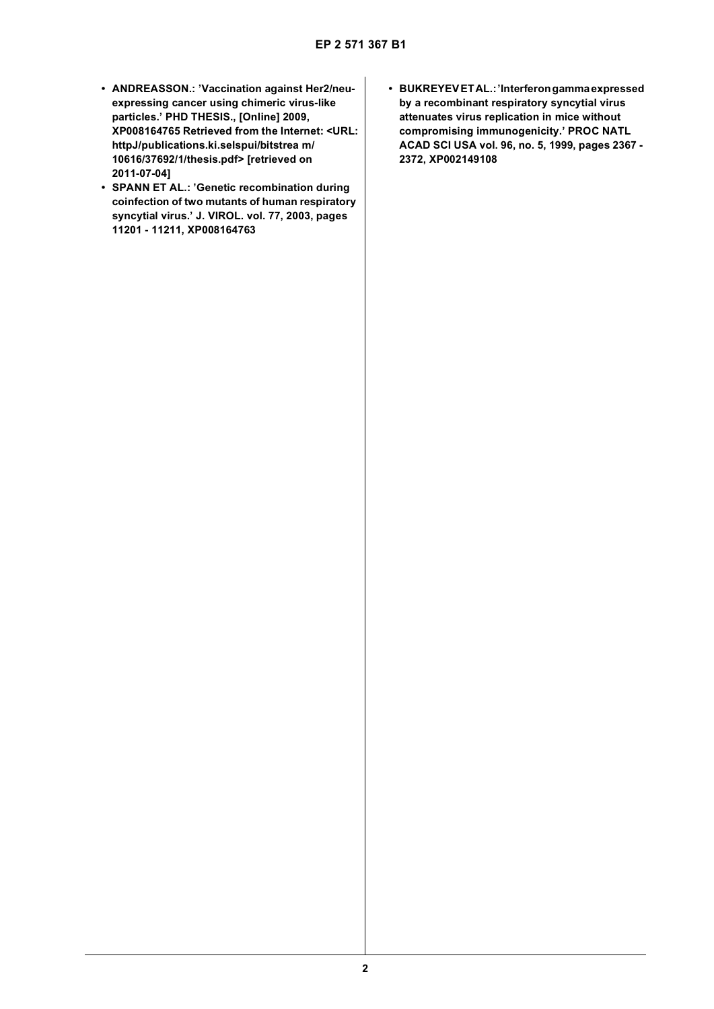- **ANDREASSON.: 'Vaccination against Her2/neuexpressing cancer using chimeric virus-like particles.' PHD THESIS., [Online] 2009, XP008164765 Retrieved from the Internet: <URL: httpJ/publications.ki.selspui/bitstrea m/ 10616/37692/1/thesis.pdf> [retrieved on 2011-07-04]**
- **SPANN ET AL.: 'Genetic recombination during coinfection of two mutants of human respiratory syncytial virus.' J. VIROL. vol. 77, 2003, pages 11201 - 11211, XP008164763**
- **BUKREYEV ET AL.: 'Interferon gamma expressed by a recombinant respiratory syncytial virus attenuates virus replication in mice without compromising immunogenicity.' PROC NATL ACAD SCI USA vol. 96, no. 5, 1999, pages 2367 - 2372, XP002149108**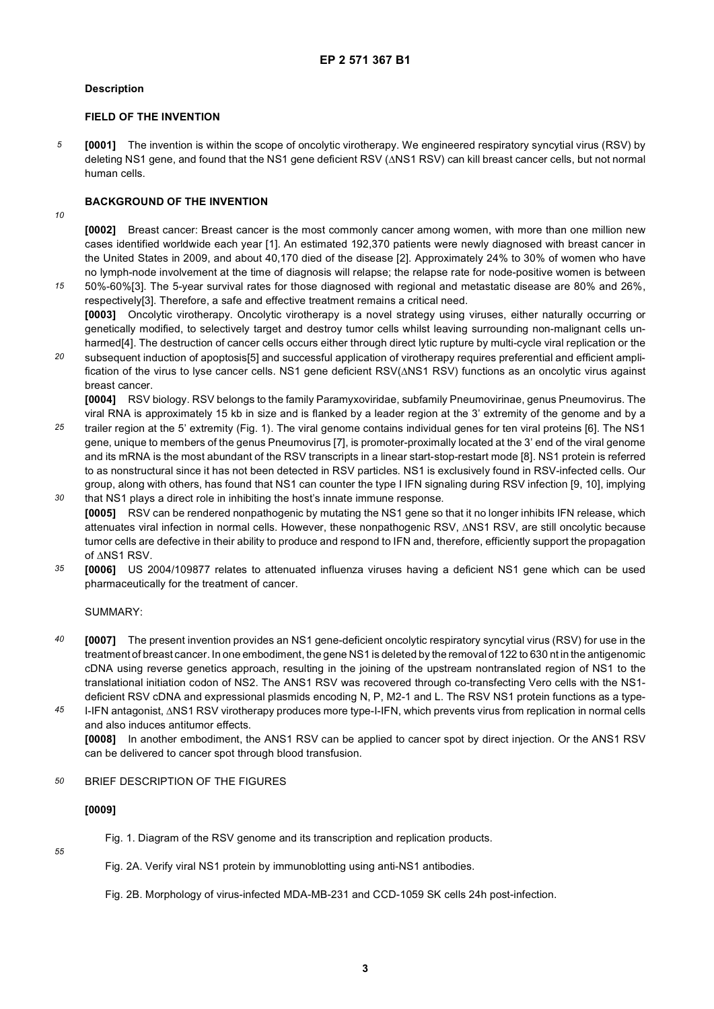### **Description**

### **FIELD OF THE INVENTION**

*5* **[0001]** The invention is within the scope of oncolytic virotherapy. We engineered respiratory syncytial virus (RSV) by deleting NS1 gene, and found that the NS1 gene deficient RSV (ΔNS1 RSV) can kill breast cancer cells, but not normal human cells.

### **BACKGROUND OF THE INVENTION**

*10*

**[0002]** Breast cancer: Breast cancer is the most commonly cancer among women, with more than one million new cases identified worldwide each year [1]. An estimated 192,370 patients were newly diagnosed with breast cancer in the United States in 2009, and about 40,170 died of the disease [2]. Approximately 24% to 30% of women who have no lymph-node involvement at the time of diagnosis will relapse; the relapse rate for node-positive women is between

- *15* 50%-60%[3]. The 5-year survival rates for those diagnosed with regional and metastatic disease are 80% and 26%, respectively[3]. Therefore, a safe and effective treatment remains a critical need. **[0003]** Oncolytic virotherapy. Oncolytic virotherapy is a novel strategy using viruses, either naturally occurring or genetically modified, to selectively target and destroy tumor cells whilst leaving surrounding non-malignant cells unharmed[4]. The destruction of cancer cells occurs either through direct lytic rupture by multi-cycle viral replication or the
- *20* subsequent induction of apoptosis[5] and successful application of virotherapy requires preferential and efficient amplification of the virus to lyse cancer cells. NS1 gene deficient RSV(ΔNS1 RSV) functions as an oncolytic virus against breast cancer.

**[0004]** RSV biology. RSV belongs to the family Paramyxoviridae, subfamily Pneumovirinae, genus Pneumovirus. The viral RNA is approximately 15 kb in size and is flanked by a leader region at the 3' extremity of the genome and by a

- *25 30* trailer region at the 5' extremity (Fig. 1). The viral genome contains individual genes for ten viral proteins [6]. The NS1 gene, unique to members of the genus Pneumovirus [7], is promoter-proximally located at the 3' end of the viral genome and its mRNA is the most abundant of the RSV transcripts in a linear start-stop-restart mode [8]. NS1 protein is referred to as nonstructural since it has not been detected in RSV particles. NS1 is exclusively found in RSV-infected cells. Our group, along with others, has found that NS1 can counter the type I IFN signaling during RSV infection [9, 10], implying
- that NS1 plays a direct role in inhibiting the host's innate immune response. **[0005]** RSV can be rendered nonpathogenic by mutating the NS1 gene so that it no longer inhibits IFN release, which attenuates viral infection in normal cells. However, these nonpathogenic RSV, ΔNS1 RSV, are still oncolytic because tumor cells are defective in their ability to produce and respond to IFN and, therefore, efficiently support the propagation of ΔNS1 RSV.
- *35* **[0006]** US 2004/109877 relates to attenuated influenza viruses having a deficient NS1 gene which can be used pharmaceutically for the treatment of cancer.

SUMMARY:

- *40* **[0007]** The present invention provides an NS1 gene-deficient oncolytic respiratory syncytial virus (RSV) for use in the treatment of breast cancer. In one embodiment, the gene NS1 is deleted by the removal of 122 to 630 nt in the antigenomic cDNA using reverse genetics approach, resulting in the joining of the upstream nontranslated region of NS1 to the translational initiation codon of NS2. The ANS1 RSV was recovered through co-transfecting Vero cells with the NS1 deficient RSV cDNA and expressional plasmids encoding N, P, M2-1 and L. The RSV NS1 protein functions as a type-
- *45* I-IFN antagonist, ΔNS1 RSV virotherapy produces more type-I-IFN, which prevents virus from replication in normal cells and also induces antitumor effects. **[0008]** In another embodiment, the ANS1 RSV can be applied to cancer spot by direct injection. Or the ANS1 RSV can be delivered to cancer spot through blood transfusion.

#### *50* BRIEF DESCRIPTION OF THE FIGURES

#### **[0009]**

*55*

Fig. 1. Diagram of the RSV genome and its transcription and replication products.

Fig. 2A. Verify viral NS1 protein by immunoblotting using anti-NS1 antibodies.

Fig. 2B. Morphology of virus-infected MDA-MB-231 and CCD-1059 SK cells 24h post-infection.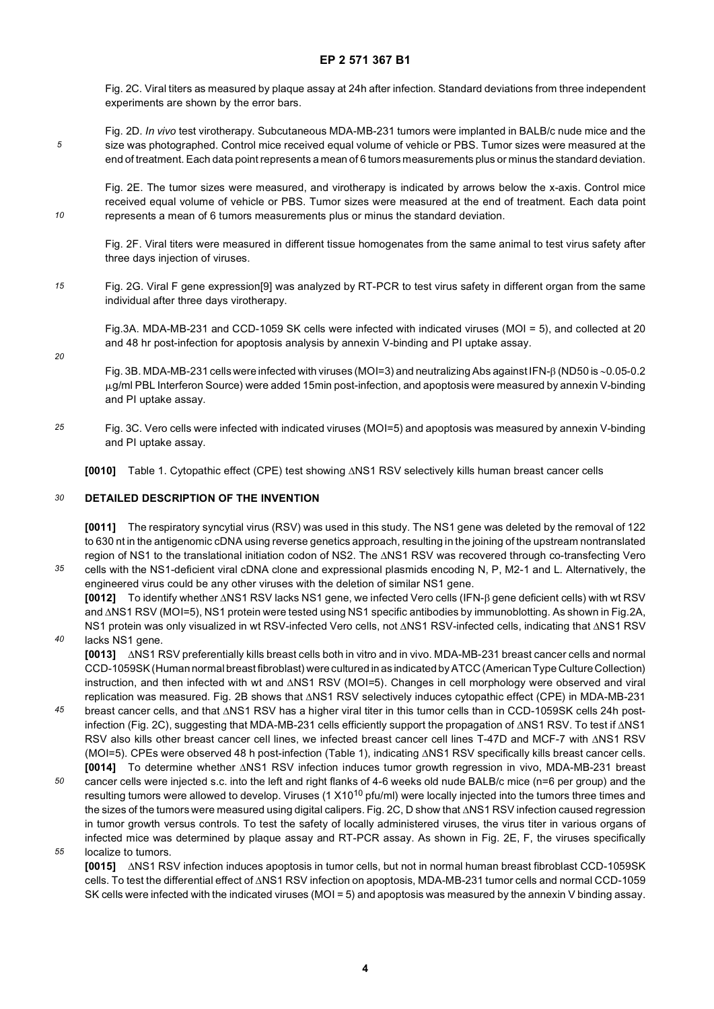Fig. 2C. Viral titers as measured by plaque assay at 24h after infection. Standard deviations from three independent experiments are shown by the error bars.

*5* Fig. 2D. *In vivo* test virotherapy. Subcutaneous MDA-MB-231 tumors were implanted in BALB/c nude mice and the size was photographed. Control mice received equal volume of vehicle or PBS. Tumor sizes were measured at the end of treatment. Each data point represents a mean of 6 tumors measurements plus or minus the standard deviation.

Fig. 2E. The tumor sizes were measured, and virotherapy is indicated by arrows below the x-axis. Control mice received equal volume of vehicle or PBS. Tumor sizes were measured at the end of treatment. Each data point represents a mean of 6 tumors measurements plus or minus the standard deviation.

Fig. 2F. Viral titers were measured in different tissue homogenates from the same animal to test virus safety after three days injection of viruses.

*15* Fig. 2G. Viral F gene expression[9] was analyzed by RT-PCR to test virus safety in different organ from the same individual after three days virotherapy.

Fig.3A. MDA-MB-231 and CCD-1059 SK cells were infected with indicated viruses (MOI = 5), and collected at 20 and 48 hr post-infection for apoptosis analysis by annexin V-binding and PI uptake assay.

- Fig. 3B. MDA-MB-231 cells were infected with viruses (MOI=3) and neutralizing Abs against IFN-β (ND50 is ∼0.05-0.2  $\mu$ g/ml PBL Interferon Source) were added 15min post-infection, and apoptosis were measured by annexin V-binding and PI uptake assay.
- *25* Fig. 3C. Vero cells were infected with indicated viruses (MOI=5) and apoptosis was measured by annexin V-binding and PI uptake assay.

**[0010]** Table 1. Cytopathic effect (CPE) test showing ΔNS1 RSV selectively kills human breast cancer cells

#### *30* **DETAILED DESCRIPTION OF THE INVENTION**

*10*

*20*

*35*

**[0011]** The respiratory syncytial virus (RSV) was used in this study. The NS1 gene was deleted by the removal of 122 to 630 nt in the antigenomic cDNA using reverse genetics approach, resulting in the joining of the upstream nontranslated region of NS1 to the translational initiation codon of NS2. The ΔNS1 RSV was recovered through co-transfecting Vero cells with the NS1-deficient viral cDNA clone and expressional plasmids encoding N, P, M2-1 and L. Alternatively, the

engineered virus could be any other viruses with the deletion of similar NS1 gene. **[0012]** To identify whether ΔNS1 RSV lacks NS1 gene, we infected Vero cells (IFN-β gene deficient cells) with wt RSV and ΔNS1 RSV (MOI=5), NS1 protein were tested using NS1 specific antibodies by immunoblotting. As shown in Fig.2A,

*40* NS1 protein was only visualized in wt RSV-infected Vero cells, not ΔNS1 RSV-infected cells, indicating that ΔNS1 RSV lacks NS1 gene. **[0013]** ΔNS1 RSV preferentially kills breast cells both in vitro and in vivo. MDA-MB-231 breast cancer cells and normal CCD-1059SK (Human normal breast fibroblast) were cultured in as indicated by ATCC (American Type Culture Collection) instruction, and then infected with wt and ΔNS1 RSV (MOI=5). Changes in cell morphology were observed and viral

- *45* replication was measured. Fig. 2B shows that ΔNS1 RSV selectively induces cytopathic effect (CPE) in MDA-MB-231 breast cancer cells, and that ΔNS1 RSV has a higher viral titer in this tumor cells than in CCD-1059SK cells 24h postinfection (Fig. 2C), suggesting that MDA-MB-231 cells efficiently support the propagation of ΔNS1 RSV. To test if ΔNS1 RSV also kills other breast cancer cell lines, we infected breast cancer cell lines T-47D and MCF-7 with ΔNS1 RSV (MOI=5). CPEs were observed 48 h post-infection (Table 1), indicating ΔNS1 RSV specifically kills breast cancer cells. **[0014]** To determine whether ΔNS1 RSV infection induces tumor growth regression in vivo, MDA-MB-231 breast
- *50 55* cancer cells were injected s.c. into the left and right flanks of 4-6 weeks old nude BALB/c mice (n=6 per group) and the resulting tumors were allowed to develop. Viruses (1 X10<sup>10</sup> pfu/ml) were locally injected into the tumors three times and the sizes of the tumors were measured using digital calipers. Fig. 2C, D show that ΔNS1 RSV infection caused regression in tumor growth versus controls. To test the safety of locally administered viruses, the virus titer in various organs of infected mice was determined by plaque assay and RT-PCR assay. As shown in Fig. 2E, F, the viruses specifically
- localize to tumors.

**[0015]** ΔNS1 RSV infection induces apoptosis in tumor cells, but not in normal human breast fibroblast CCD-1059SK cells. To test the differential effect of ΔNS1 RSV infection on apoptosis, MDA-MB-231 tumor cells and normal CCD-1059 SK cells were infected with the indicated viruses (MOI = 5) and apoptosis was measured by the annexin V binding assay.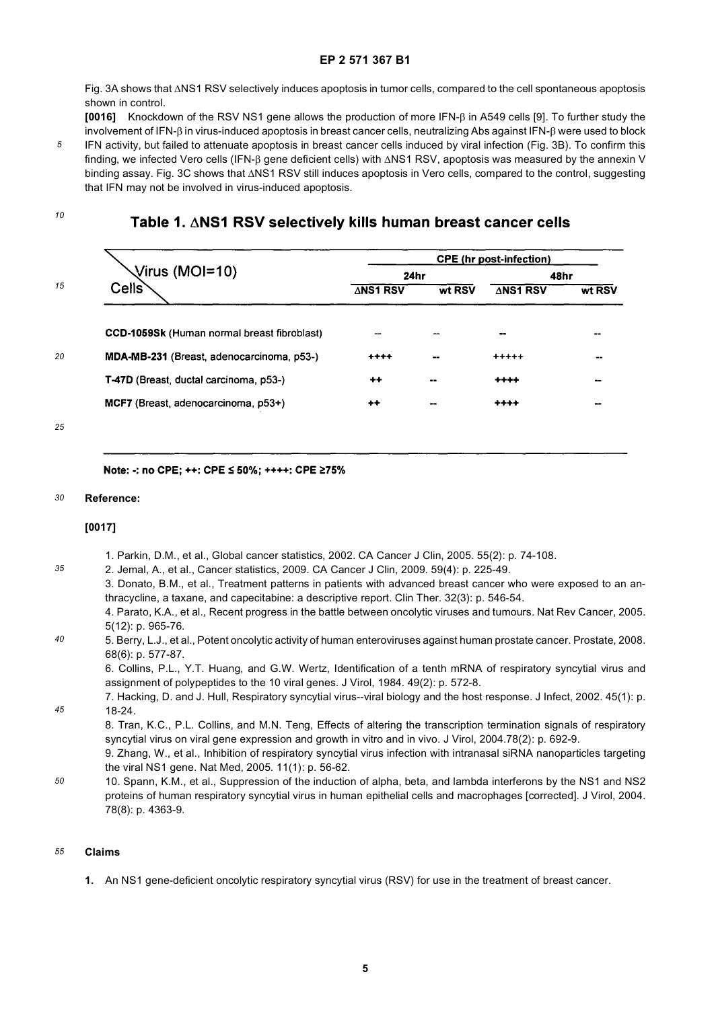Fig. 3A shows that ΔNS1 RSV selectively induces apoptosis in tumor cells, compared to the cell spontaneous apoptosis shown in control.

**[0016]** Knockdown of the RSV NS1 gene allows the production of more IFN-β in A549 cells [9]. To further study the involvement of IFN-β in virus-induced apoptosis in breast cancer cells, neutralizing Abs against IFN-β were used to block IFN activity, but failed to attenuate apoptosis in breast cancer cells induced by viral infection (Fig. 3B). To confirm this finding, we infected Vero cells (IFN-β gene deficient cells) with ΔNS1 RSV, apoptosis was measured by the annexin V binding assay. Fig. 3C shows that ΔNS1 RSV still induces apoptosis in Vero cells, compared to the control, suggesting that IFN may not be involved in virus-induced apoptosis.

*10*

*5*

# Table 1. ANS1 RSV selectively kills human breast cancer cells

| Virus (MOI=10)                                     | <b>CPE</b> (hr post-infection) |        |           |        |
|----------------------------------------------------|--------------------------------|--------|-----------|--------|
|                                                    | 24hr                           |        | 48hr      |        |
| Cells <sup>®</sup>                                 | ∆NS1 RSV                       | wt RSV | ∆NS1 RSV  | wt RSV |
| <b>CCD-1059Sk (Human normal breast fibroblast)</b> |                                |        |           | --     |
| MDA-MB-231 (Breast, adenocarcinoma, p53-)          | $***$                          |        | $***+$    |        |
| T-47D (Breast, ductal carcinoma, p53-)             | $^{\tiny{++}}$                 | $\sim$ | $^{++++}$ | --     |
| MCF7 (Breast, adenocarcinoma, p53+)                | $++$                           | --     | ++++      |        |
|                                                    |                                |        |           |        |

*25*

Note: -: no CPE; ++: CPE ≤ 50%; ++++: CPE ≥75%

#### *30* **Reference:**

#### **[0017]**

- 1. Parkin, D.M., et al., Global cancer statistics, 2002. CA Cancer J Clin, 2005. 55(2): p. 74-108.
- *35* 2. Jemal, A., et al., Cancer statistics, 2009. CA Cancer J Clin, 2009. 59(4): p. 225-49. 3. Donato, B.M., et al., Treatment patterns in patients with advanced breast cancer who were exposed to an anthracycline, a taxane, and capecitabine: a descriptive report. Clin Ther. 32(3): p. 546-54. 4. Parato, K.A., et al., Recent progress in the battle between oncolytic viruses and tumours. Nat Rev Cancer, 2005.
- *40* 5(12): p. 965-76. 5. Berry, L.J., et al., Potent oncolytic activity of human enteroviruses against human prostate cancer. Prostate, 2008. 68(6): p. 577-87.

6. Collins, P.L., Y.T. Huang, and G.W. Wertz, Identification of a tenth mRNA of respiratory syncytial virus and assignment of polypeptides to the 10 viral genes. J Virol, 1984. 49(2): p. 572-8.

7. Hacking, D. and J. Hull, Respiratory syncytial virus--viral biology and the host response. J Infect, 2002. 45(1): p. 18-24.

8. Tran, K.C., P.L. Collins, and M.N. Teng, Effects of altering the transcription termination signals of respiratory syncytial virus on viral gene expression and growth in vitro and in vivo. J Virol, 2004.78(2): p. 692-9.

9. Zhang, W., et al., Inhibition of respiratory syncytial virus infection with intranasal siRNA nanoparticles targeting the viral NS1 gene. Nat Med, 2005. 11(1): p. 56-62.

*50* 10. Spann, K.M., et al., Suppression of the induction of alpha, beta, and lambda interferons by the NS1 and NS2 proteins of human respiratory syncytial virus in human epithelial cells and macrophages [corrected]. J Virol, 2004. 78(8): p. 4363-9.

#### *55* **Claims**

*45*

**1.** An NS1 gene-deficient oncolytic respiratory syncytial virus (RSV) for use in the treatment of breast cancer.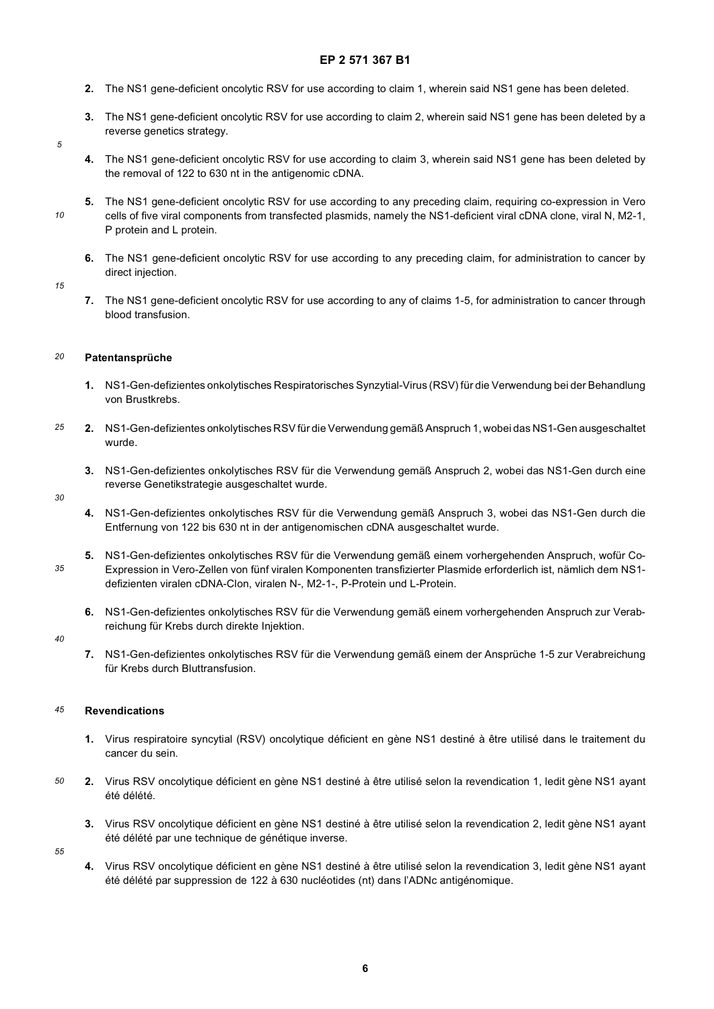- **2.** The NS1 gene-deficient oncolytic RSV for use according to claim 1, wherein said NS1 gene has been deleted.
- **3.** The NS1 gene-deficient oncolytic RSV for use according to claim 2, wherein said NS1 gene has been deleted by a reverse genetics strategy.
- *5*

*10*

- **4.** The NS1 gene-deficient oncolytic RSV for use according to claim 3, wherein said NS1 gene has been deleted by the removal of 122 to 630 nt in the antigenomic cDNA.
- **5.** The NS1 gene-deficient oncolytic RSV for use according to any preceding claim, requiring co-expression in Vero cells of five viral components from transfected plasmids, namely the NS1-deficient viral cDNA clone, viral N, M2-1, P protein and L protein.
	- **6.** The NS1 gene-deficient oncolytic RSV for use according to any preceding claim, for administration to cancer by direct injection.

*15*

**7.** The NS1 gene-deficient oncolytic RSV for use according to any of claims 1-5, for administration to cancer through blood transfusion.

#### *20* **Patentansprüche**

- **1.** NS1-Gen-defizientes onkolytisches Respiratorisches Synzytial-Virus (RSV) für die Verwendung bei der Behandlung von Brustkrebs.
- *25* **2.** NS1-Gen-defizientes onkolytisches RSV für die Verwendung gemäß Anspruch 1, wobei das NS1-Gen ausgeschaltet wurde.
	- **3.** NS1-Gen-defizientes onkolytisches RSV für die Verwendung gemäß Anspruch 2, wobei das NS1-Gen durch eine reverse Genetikstrategie ausgeschaltet wurde.

#### *30*

- **4.** NS1-Gen-defizientes onkolytisches RSV für die Verwendung gemäß Anspruch 3, wobei das NS1-Gen durch die Entfernung von 122 bis 630 nt in der antigenomischen cDNA ausgeschaltet wurde.
- **5.** NS1-Gen-defizientes onkolytisches RSV für die Verwendung gemäß einem vorhergehenden Anspruch, wofür Co-Expression in Vero-Zellen von fünf viralen Komponenten transfizierter Plasmide erforderlich ist, nämlich dem NS1 defizienten viralen cDNA-Clon, viralen N-, M2-1-, P-Protein und L-Protein.
	- **6.** NS1-Gen-defizientes onkolytisches RSV für die Verwendung gemäß einem vorhergehenden Anspruch zur Verabreichung für Krebs durch direkte Injektion.

#### *40*

*35*

**7.** NS1-Gen-defizientes onkolytisches RSV für die Verwendung gemäß einem der Ansprüche 1-5 zur Verabreichung für Krebs durch Bluttransfusion.

#### *45* **Revendications**

- **1.** Virus respiratoire syncytial (RSV) oncolytique déficient en gène NS1 destiné à être utilisé dans le traitement du cancer du sein.
- *50* **2.** Virus RSV oncolytique déficient en gène NS1 destiné à être utilisé selon la revendication 1, ledit gène NS1 ayant été délété.
	- **3.** Virus RSV oncolytique déficient en gène NS1 destiné à être utilisé selon la revendication 2, ledit gène NS1 ayant été délété par une technique de génétique inverse.

*55*

**4.** Virus RSV oncolytique déficient en gène NS1 destiné à être utilisé selon la revendication 3, ledit gène NS1 ayant été délété par suppression de 122 à 630 nucléotides (nt) dans l'ADNc antigénomique.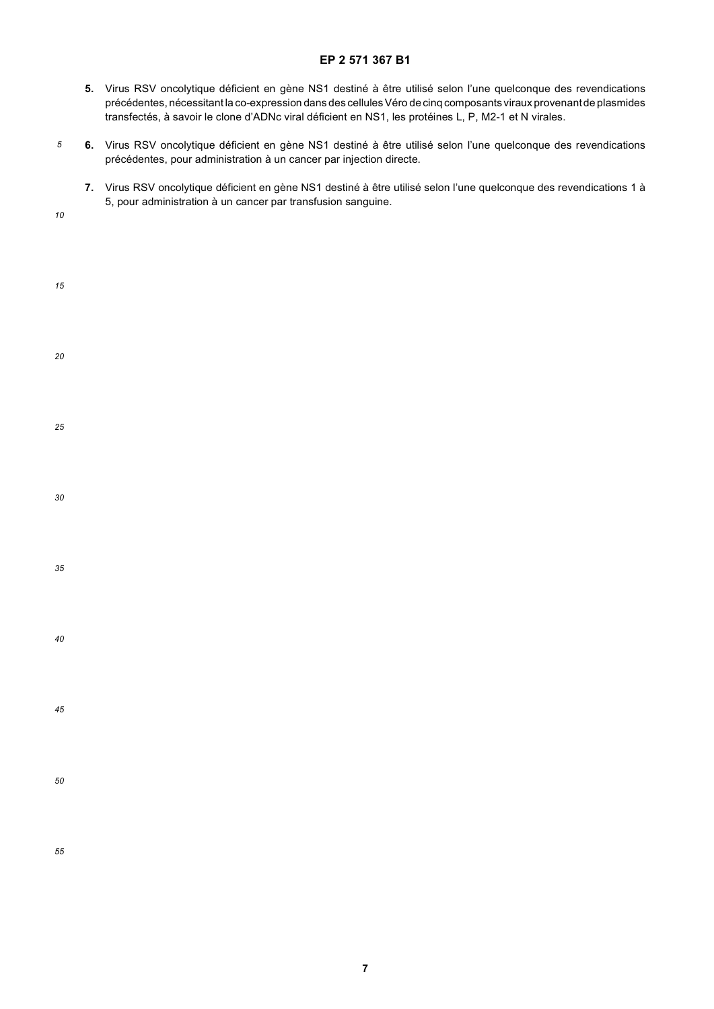- **5.** Virus RSV oncolytique déficient en gène NS1 destiné à être utilisé selon l'une quelconque des revendications précédentes, nécessitant la co-expression dans des cellules Véro de cinq composants viraux provenant de plasmides transfectés, à savoir le clone d'ADNc viral déficient en NS1, les protéines L, P, M2-1 et N virales.
- *5* **6.** Virus RSV oncolytique déficient en gène NS1 destiné à être utilisé selon l'une quelconque des revendications précédentes, pour administration à un cancer par injection directe.
	- **7.** Virus RSV oncolytique déficient en gène NS1 destiné à être utilisé selon l'une quelconque des revendications 1 à 5, pour administration à un cancer par transfusion sanguine.

*10*

| 15 |  |  |  |
|----|--|--|--|
| 20 |  |  |  |
| 25 |  |  |  |
| 30 |  |  |  |
| 35 |  |  |  |
| 40 |  |  |  |
| 45 |  |  |  |
| 50 |  |  |  |
| 55 |  |  |  |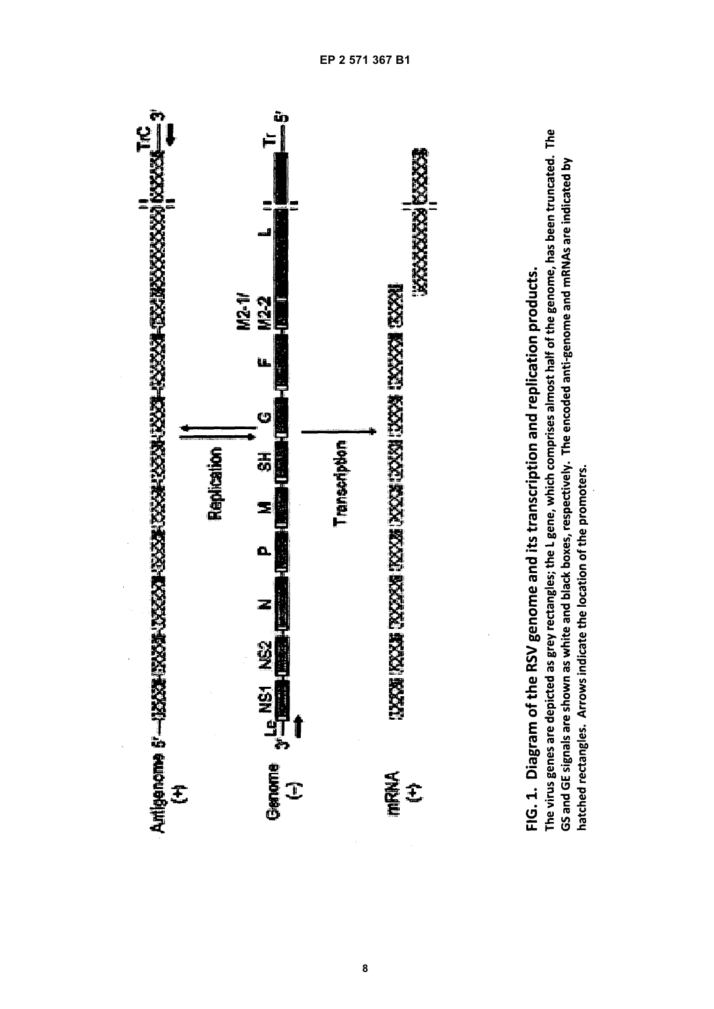

GS and GE signals are shown as white and black boxes, respectively. The encoded anti-genome and mRNAs are indicated by hatched rectangles. Arrows indicate the location of the promoters.

**8**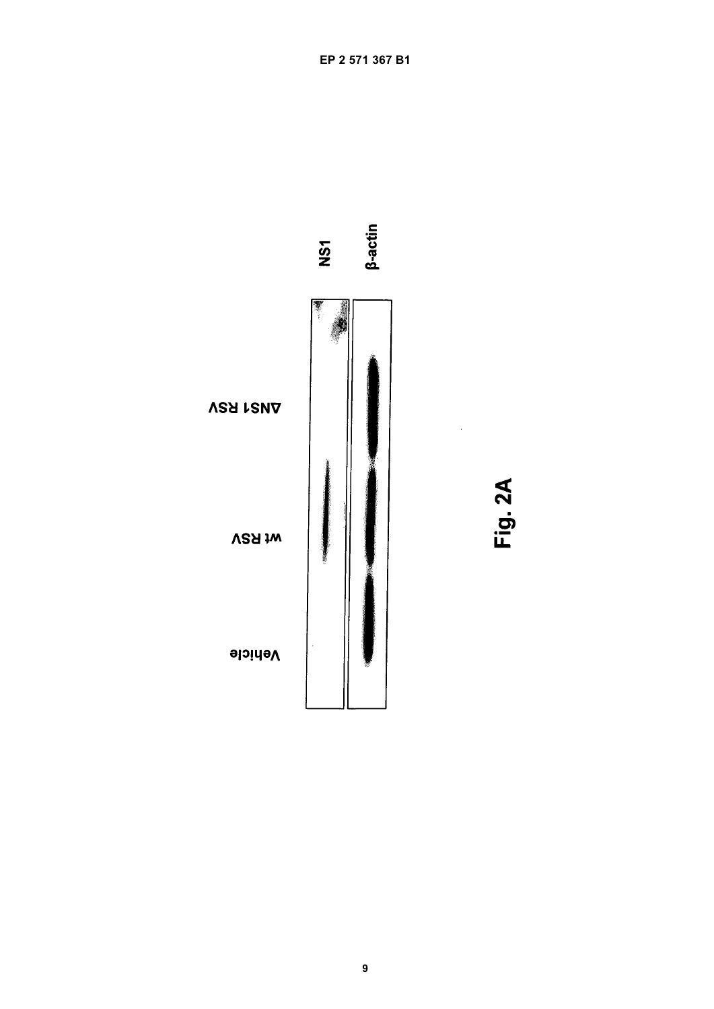

Fig. 2A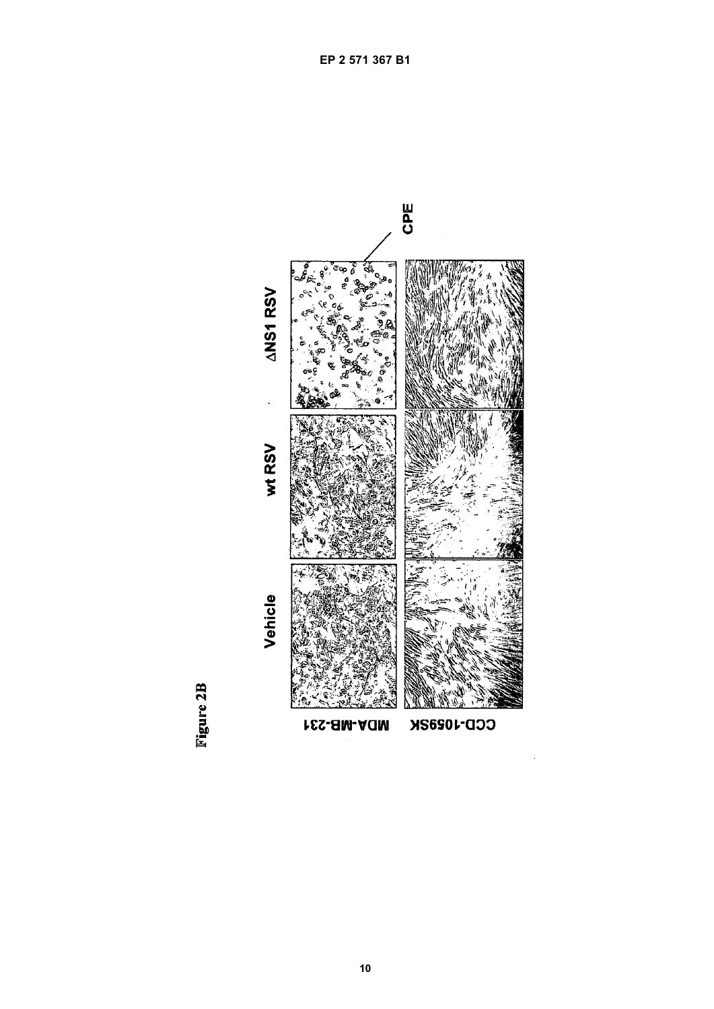

Figure 2B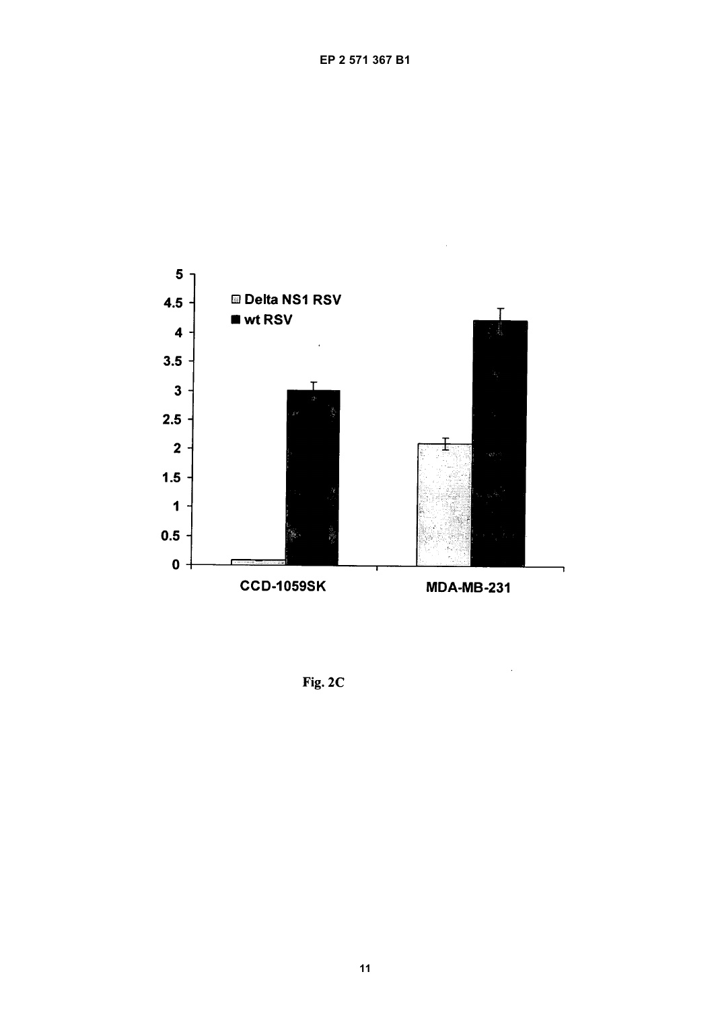

Fig. 2C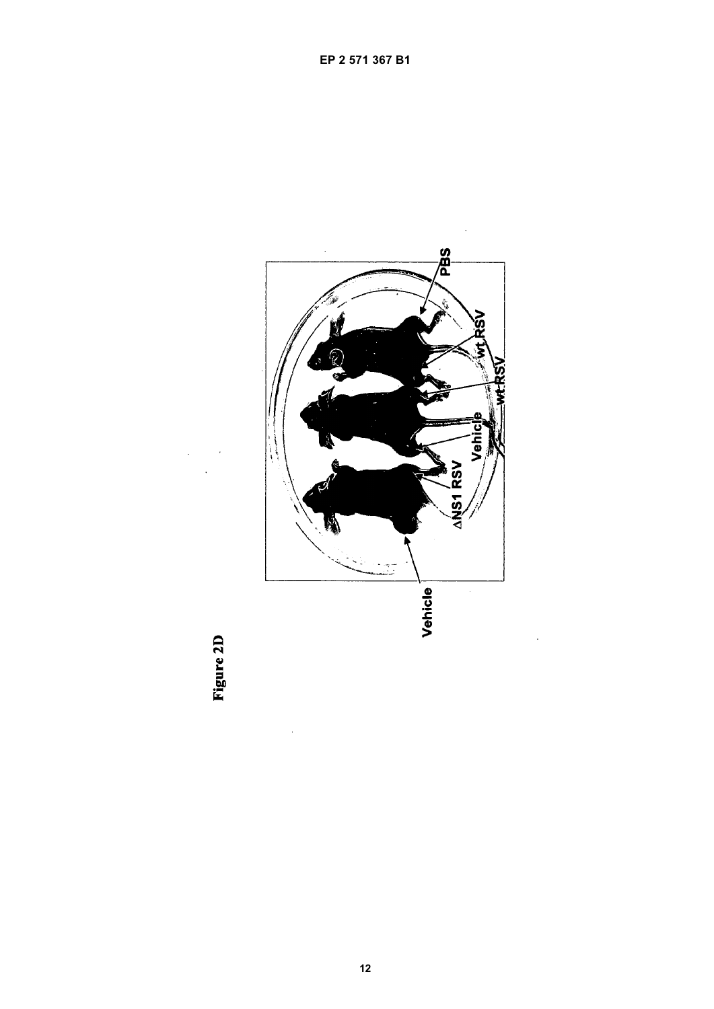

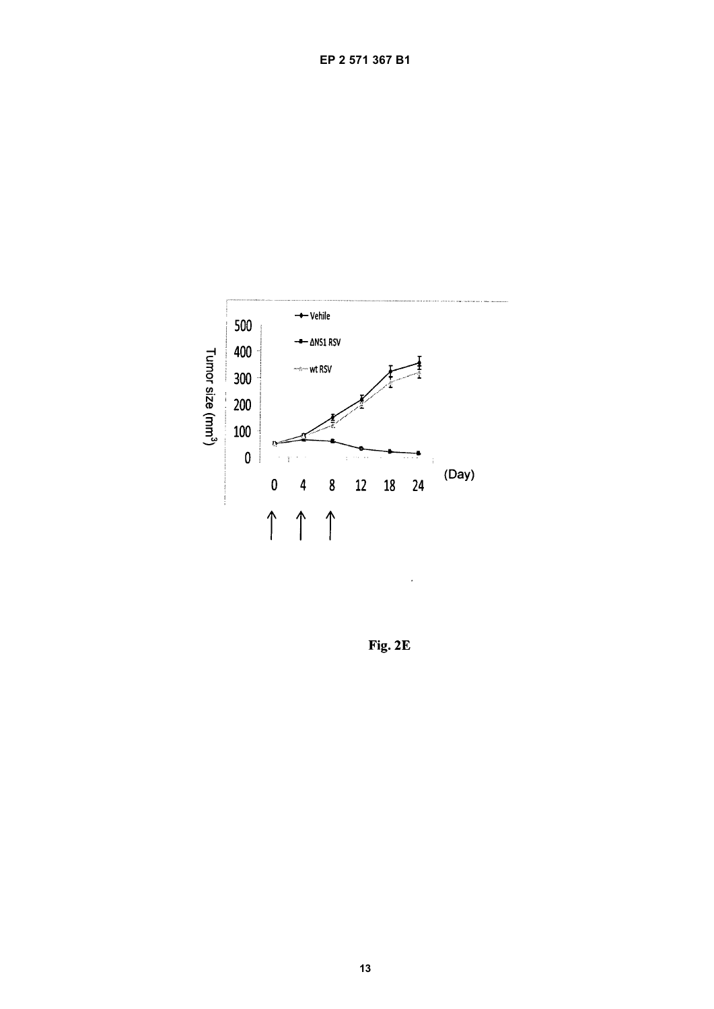

Fig. 2E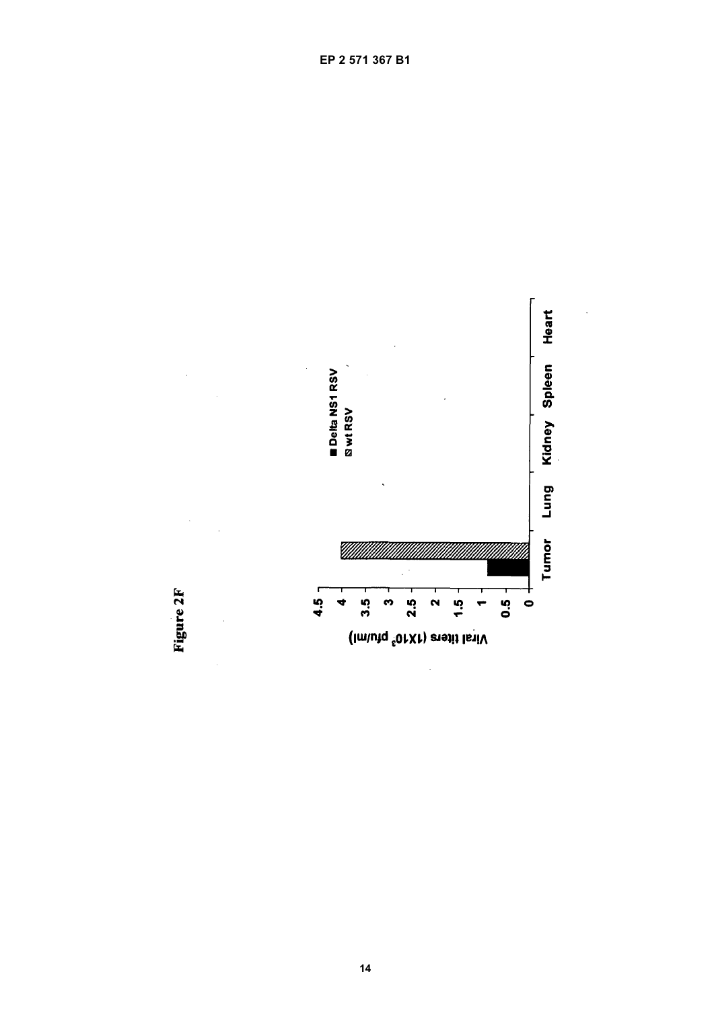

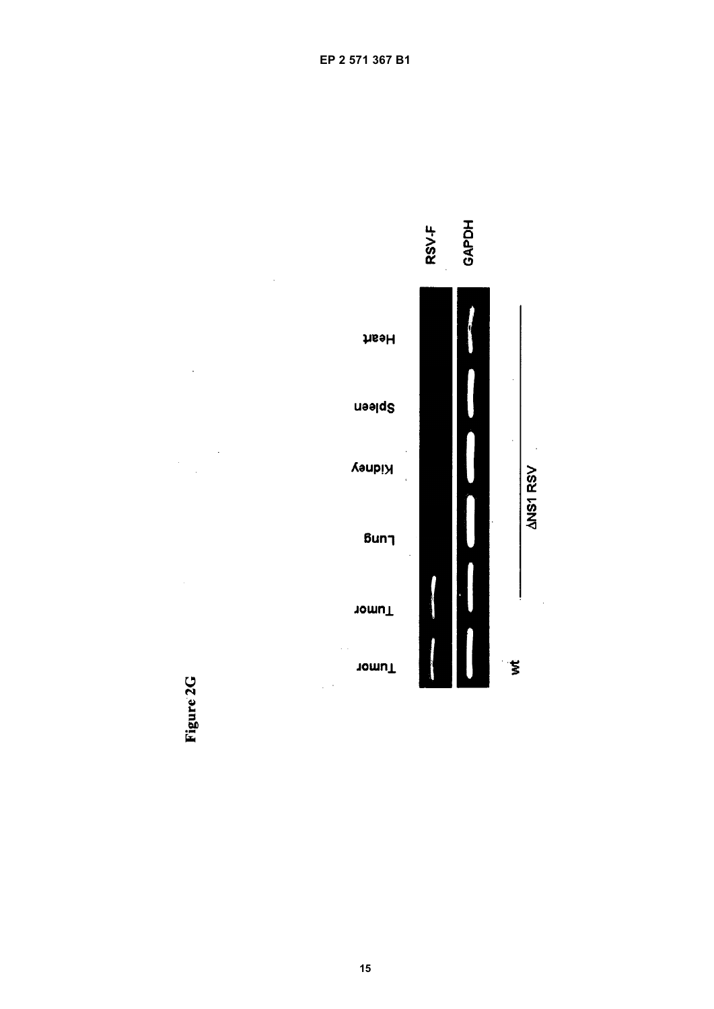



 $\ddot{\phantom{a}}$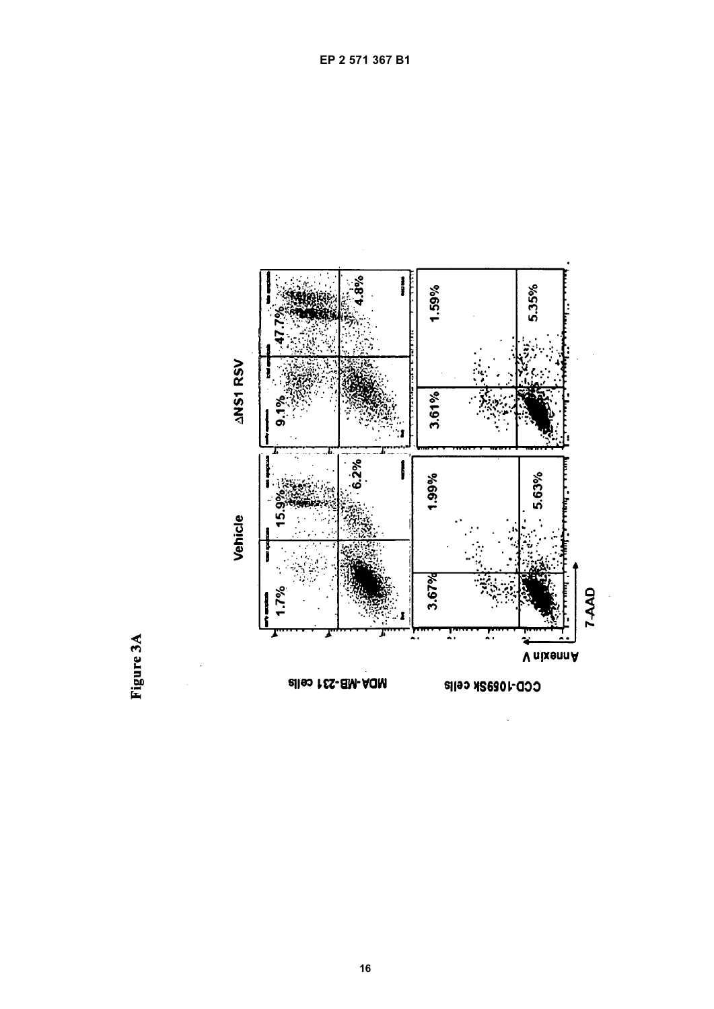

 $\overline{a}$ 

Figure 3A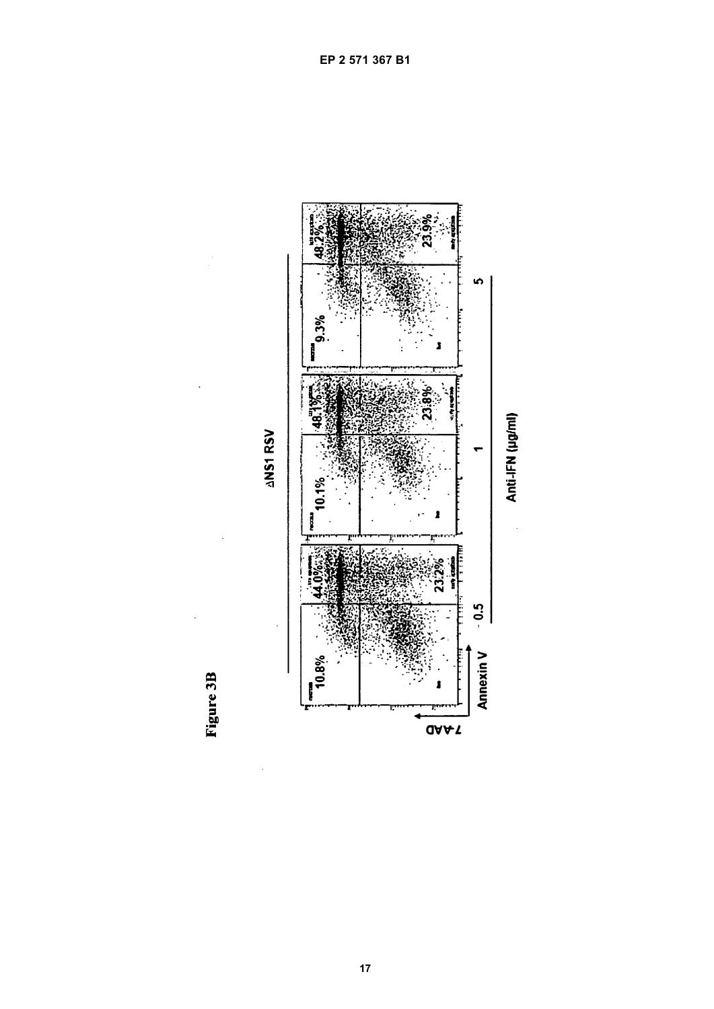

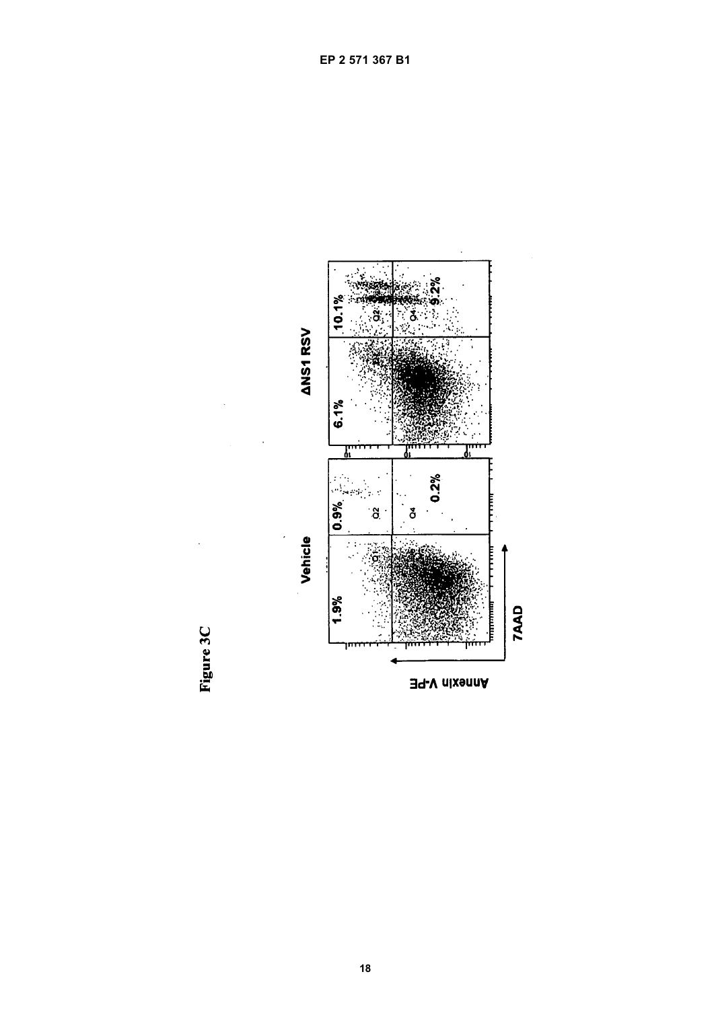

Figure 3C